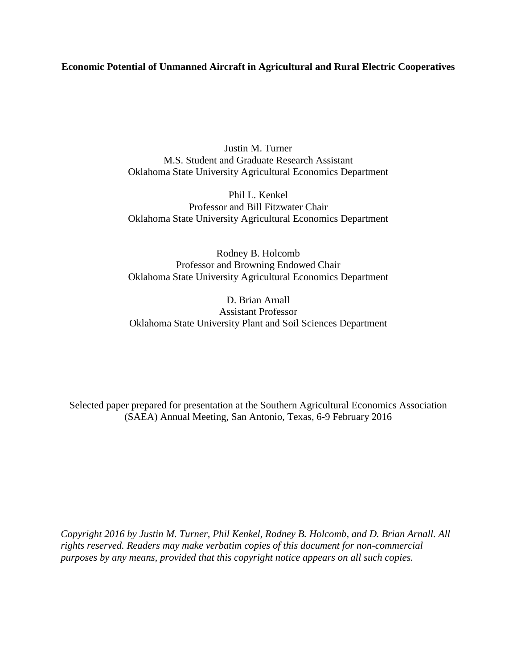# **Economic Potential of Unmanned Aircraft in Agricultural and Rural Electric Cooperatives**

Justin M. Turner M.S. Student and Graduate Research Assistant Oklahoma State University Agricultural Economics Department

Phil L. Kenkel Professor and Bill Fitzwater Chair Oklahoma State University Agricultural Economics Department

Rodney B. Holcomb Professor and Browning Endowed Chair Oklahoma State University Agricultural Economics Department

D. Brian Arnall Assistant Professor Oklahoma State University Plant and Soil Sciences Department

Selected paper prepared for presentation at the Southern Agricultural Economics Association (SAEA) Annual Meeting, San Antonio, Texas, 6-9 February 2016

*Copyright 2016 by Justin M. Turner, Phil Kenkel, Rodney B. Holcomb, and D. Brian Arnall. All rights reserved. Readers may make verbatim copies of this document for non-commercial purposes by any means, provided that this copyright notice appears on all such copies.*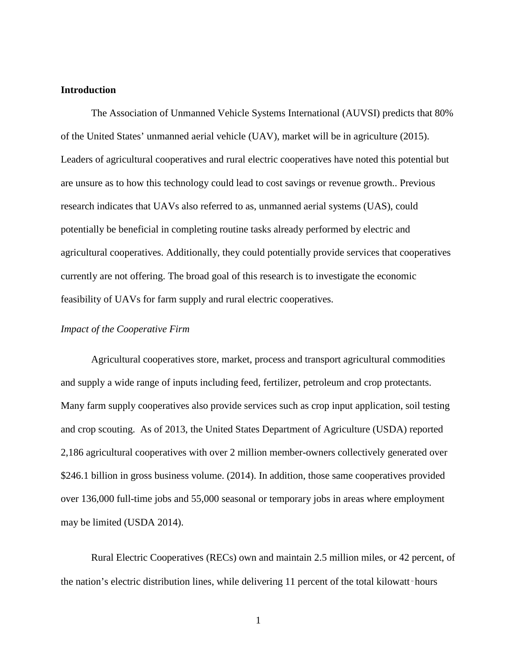# **Introduction**

The Association of Unmanned Vehicle Systems International (AUVSI) predicts that 80% of the United States' unmanned aerial vehicle (UAV), market will be in agriculture (2015). Leaders of agricultural cooperatives and rural electric cooperatives have noted this potential but are unsure as to how this technology could lead to cost savings or revenue growth.. Previous research indicates that UAVs also referred to as, unmanned aerial systems (UAS), could potentially be beneficial in completing routine tasks already performed by electric and agricultural cooperatives. Additionally, they could potentially provide services that cooperatives currently are not offering. The broad goal of this research is to investigate the economic feasibility of UAVs for farm supply and rural electric cooperatives.

### *Impact of the Cooperative Firm*

Agricultural cooperatives store, market, process and transport agricultural commodities and supply a wide range of inputs including feed, fertilizer, petroleum and crop protectants. Many farm supply cooperatives also provide services such as crop input application, soil testing and crop scouting. As of 2013, the United States Department of Agriculture (USDA) reported 2,186 agricultural cooperatives with over 2 million member-owners collectively generated over \$246.1 billion in gross business volume. (2014). In addition, those same cooperatives provided over 136,000 full-time jobs and 55,000 seasonal or temporary jobs in areas where employment may be limited (USDA 2014).

Rural Electric Cooperatives (RECs) own and maintain 2.5 million miles, or 42 percent, of the nation's electric distribution lines, while delivering 11 percent of the total kilowatt-hours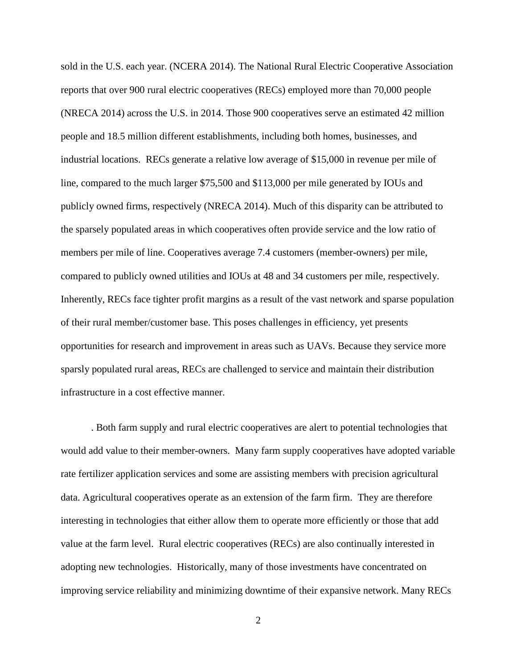sold in the U.S. each year. (NCERA 2014). The National Rural Electric Cooperative Association reports that over 900 rural electric cooperatives (RECs) employed more than 70,000 people (NRECA 2014) across the U.S. in 2014. Those 900 cooperatives serve an estimated 42 million people and 18.5 million different establishments, including both homes, businesses, and industrial locations. RECs generate a relative low average of \$15,000 in revenue per mile of line, compared to the much larger \$75,500 and \$113,000 per mile generated by IOUs and publicly owned firms, respectively (NRECA 2014). Much of this disparity can be attributed to the sparsely populated areas in which cooperatives often provide service and the low ratio of members per mile of line. Cooperatives average 7.4 customers (member-owners) per mile, compared to publicly owned utilities and IOUs at 48 and 34 customers per mile, respectively. Inherently, RECs face tighter profit margins as a result of the vast network and sparse population of their rural member/customer base. This poses challenges in efficiency, yet presents opportunities for research and improvement in areas such as UAVs. Because they service more sparsly populated rural areas, RECs are challenged to service and maintain their distribution infrastructure in a cost effective manner.

. Both farm supply and rural electric cooperatives are alert to potential technologies that would add value to their member-owners. Many farm supply cooperatives have adopted variable rate fertilizer application services and some are assisting members with precision agricultural data. Agricultural cooperatives operate as an extension of the farm firm. They are therefore interesting in technologies that either allow them to operate more efficiently or those that add value at the farm level. Rural electric cooperatives (RECs) are also continually interested in adopting new technologies. Historically, many of those investments have concentrated on improving service reliability and minimizing downtime of their expansive network. Many RECs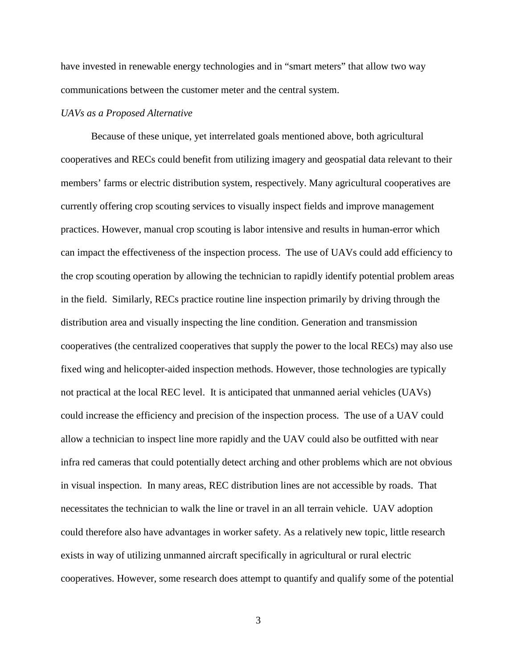have invested in renewable energy technologies and in "smart meters" that allow two way communications between the customer meter and the central system.

## *UAVs as a Proposed Alternative*

Because of these unique, yet interrelated goals mentioned above, both agricultural cooperatives and RECs could benefit from utilizing imagery and geospatial data relevant to their members' farms or electric distribution system, respectively. Many agricultural cooperatives are currently offering crop scouting services to visually inspect fields and improve management practices. However, manual crop scouting is labor intensive and results in human-error which can impact the effectiveness of the inspection process. The use of UAVs could add efficiency to the crop scouting operation by allowing the technician to rapidly identify potential problem areas in the field. Similarly, RECs practice routine line inspection primarily by driving through the distribution area and visually inspecting the line condition. Generation and transmission cooperatives (the centralized cooperatives that supply the power to the local RECs) may also use fixed wing and helicopter-aided inspection methods. However, those technologies are typically not practical at the local REC level. It is anticipated that unmanned aerial vehicles (UAVs) could increase the efficiency and precision of the inspection process. The use of a UAV could allow a technician to inspect line more rapidly and the UAV could also be outfitted with near infra red cameras that could potentially detect arching and other problems which are not obvious in visual inspection. In many areas, REC distribution lines are not accessible by roads. That necessitates the technician to walk the line or travel in an all terrain vehicle. UAV adoption could therefore also have advantages in worker safety. As a relatively new topic, little research exists in way of utilizing unmanned aircraft specifically in agricultural or rural electric cooperatives. However, some research does attempt to quantify and qualify some of the potential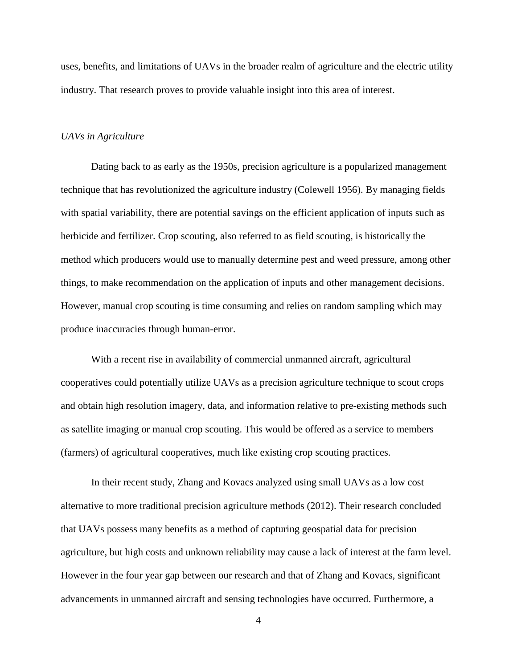uses, benefits, and limitations of UAVs in the broader realm of agriculture and the electric utility industry. That research proves to provide valuable insight into this area of interest.

#### *UAVs in Agriculture*

Dating back to as early as the 1950s, precision agriculture is a popularized management technique that has revolutionized the agriculture industry (Colewell 1956). By managing fields with spatial variability, there are potential savings on the efficient application of inputs such as herbicide and fertilizer. Crop scouting, also referred to as field scouting, is historically the method which producers would use to manually determine pest and weed pressure, among other things, to make recommendation on the application of inputs and other management decisions. However, manual crop scouting is time consuming and relies on random sampling which may produce inaccuracies through human-error.

With a recent rise in availability of commercial unmanned aircraft, agricultural cooperatives could potentially utilize UAVs as a precision agriculture technique to scout crops and obtain high resolution imagery, data, and information relative to pre-existing methods such as satellite imaging or manual crop scouting. This would be offered as a service to members (farmers) of agricultural cooperatives, much like existing crop scouting practices.

In their recent study, Zhang and Kovacs analyzed using small UAVs as a low cost alternative to more traditional precision agriculture methods (2012). Their research concluded that UAVs possess many benefits as a method of capturing geospatial data for precision agriculture, but high costs and unknown reliability may cause a lack of interest at the farm level. However in the four year gap between our research and that of Zhang and Kovacs, significant advancements in unmanned aircraft and sensing technologies have occurred. Furthermore, a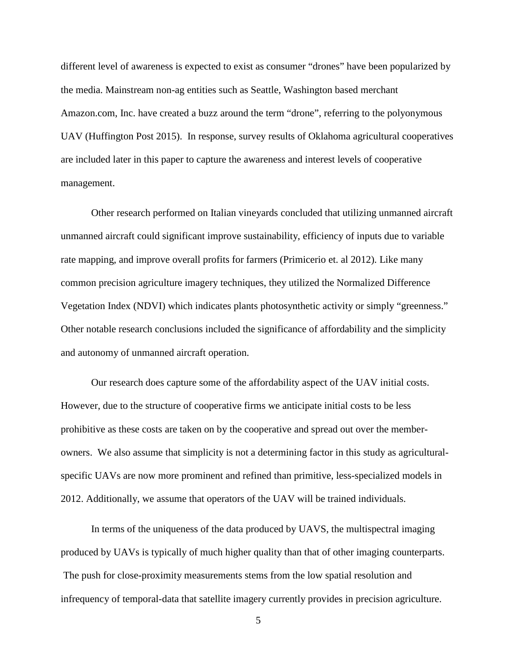different level of awareness is expected to exist as consumer "drones" have been popularized by the media. Mainstream non-ag entities such as Seattle, Washington based merchant Amazon.com, Inc. have created a buzz around the term "drone", referring to the polyonymous UAV (Huffington Post 2015). In response, survey results of Oklahoma agricultural cooperatives are included later in this paper to capture the awareness and interest levels of cooperative management.

Other research performed on Italian vineyards concluded that utilizing unmanned aircraft unmanned aircraft could significant improve sustainability, efficiency of inputs due to variable rate mapping, and improve overall profits for farmers (Primicerio et. al 2012). Like many common precision agriculture imagery techniques, they utilized the Normalized Difference Vegetation Index (NDVI) which indicates plants photosynthetic activity or simply "greenness." Other notable research conclusions included the significance of affordability and the simplicity and autonomy of unmanned aircraft operation.

Our research does capture some of the affordability aspect of the UAV initial costs. However, due to the structure of cooperative firms we anticipate initial costs to be less prohibitive as these costs are taken on by the cooperative and spread out over the memberowners. We also assume that simplicity is not a determining factor in this study as agriculturalspecific UAVs are now more prominent and refined than primitive, less-specialized models in 2012. Additionally, we assume that operators of the UAV will be trained individuals.

In terms of the uniqueness of the data produced by UAVS, the multispectral imaging produced by UAVs is typically of much higher quality than that of other imaging counterparts. The push for close-proximity measurements stems from the low spatial resolution and infrequency of temporal-data that satellite imagery currently provides in precision agriculture.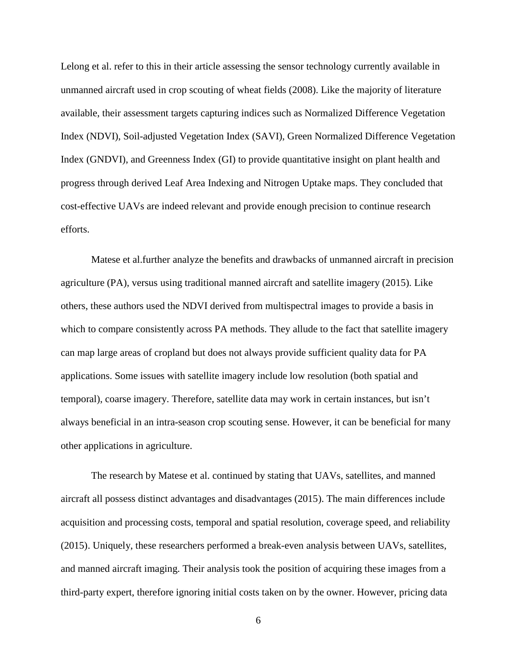Lelong et al. refer to this in their article assessing the sensor technology currently available in unmanned aircraft used in crop scouting of wheat fields (2008). Like the majority of literature available, their assessment targets capturing indices such as Normalized Difference Vegetation Index (NDVI), Soil-adjusted Vegetation Index (SAVI), Green Normalized Difference Vegetation Index (GNDVI), and Greenness Index (GI) to provide quantitative insight on plant health and progress through derived Leaf Area Indexing and Nitrogen Uptake maps. They concluded that cost-effective UAVs are indeed relevant and provide enough precision to continue research efforts.

Matese et al.further analyze the benefits and drawbacks of unmanned aircraft in precision agriculture (PA), versus using traditional manned aircraft and satellite imagery (2015). Like others, these authors used the NDVI derived from multispectral images to provide a basis in which to compare consistently across PA methods. They allude to the fact that satellite imagery can map large areas of cropland but does not always provide sufficient quality data for PA applications. Some issues with satellite imagery include low resolution (both spatial and temporal), coarse imagery. Therefore, satellite data may work in certain instances, but isn't always beneficial in an intra-season crop scouting sense. However, it can be beneficial for many other applications in agriculture.

The research by Matese et al. continued by stating that UAVs, satellites, and manned aircraft all possess distinct advantages and disadvantages (2015). The main differences include acquisition and processing costs, temporal and spatial resolution, coverage speed, and reliability (2015). Uniquely, these researchers performed a break-even analysis between UAVs, satellites, and manned aircraft imaging. Their analysis took the position of acquiring these images from a third-party expert, therefore ignoring initial costs taken on by the owner. However, pricing data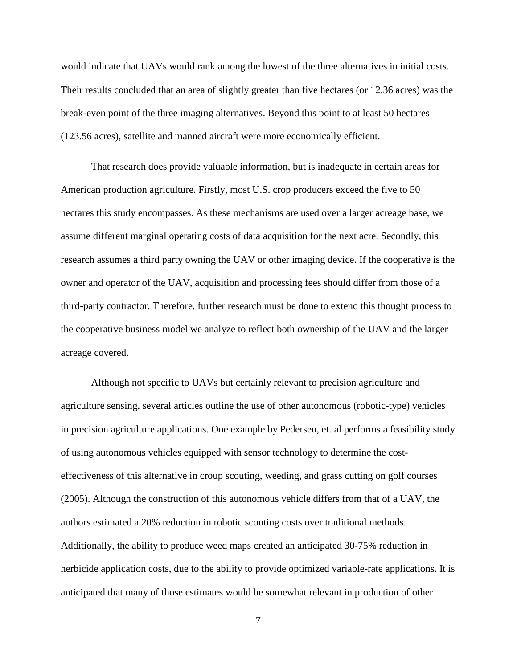would indicate that UAVs would rank among the lowest of the three alternatives in initial costs. Their results concluded that an area of slightly greater than five hectares (or 12.36 acres) was the break-even point of the three imaging alternatives. Beyond this point to at least 50 hectares (123.56 acres), satellite and manned aircraft were more economically efficient.

That research does provide valuable information, but is inadequate in certain areas for American production agriculture. Firstly, most U.S. crop producers exceed the five to 50 hectares this study encompasses. As these mechanisms are used over a larger acreage base, we assume different marginal operating costs of data acquisition for the next acre. Secondly, this research assumes a third party owning the UAV or other imaging device. If the cooperative is the owner and operator of the UAV, acquisition and processing fees should differ from those of a third-party contractor. Therefore, further research must be done to extend this thought process to the cooperative business model we analyze to reflect both ownership of the UAV and the larger acreage covered.

Although not specific to UAVs but certainly relevant to precision agriculture and agriculture sensing, several articles outline the use of other autonomous (robotic-type) vehicles in precision agriculture applications. One example by Pedersen, et. al performs a feasibility study of using autonomous vehicles equipped with sensor technology to determine the costeffectiveness of this alternative in croup scouting, weeding, and grass cutting on golf courses (2005). Although the construction of this autonomous vehicle differs from that of a UAV, the authors estimated a 20% reduction in robotic scouting costs over traditional methods. Additionally, the ability to produce weed maps created an anticipated 30-75% reduction in herbicide application costs, due to the ability to provide optimized variable-rate applications. It is anticipated that many of those estimates would be somewhat relevant in production of other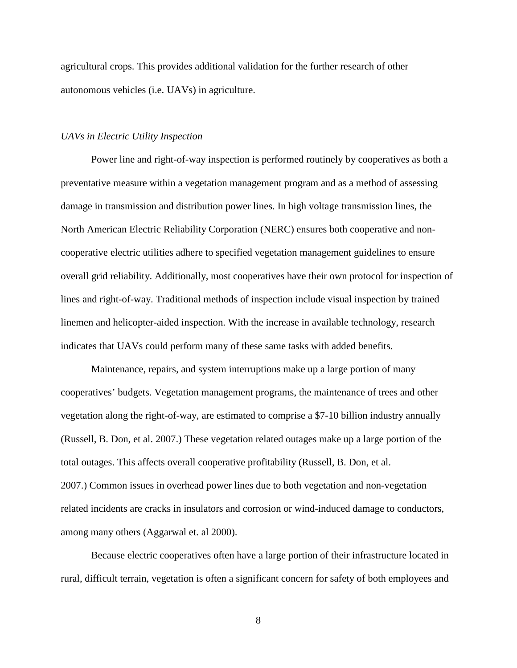agricultural crops. This provides additional validation for the further research of other autonomous vehicles (i.e. UAVs) in agriculture.

### *UAVs in Electric Utility Inspection*

Power line and right-of-way inspection is performed routinely by cooperatives as both a preventative measure within a vegetation management program and as a method of assessing damage in transmission and distribution power lines. In high voltage transmission lines, the North American Electric Reliability Corporation (NERC) ensures both cooperative and noncooperative electric utilities adhere to specified vegetation management guidelines to ensure overall grid reliability. Additionally, most cooperatives have their own protocol for inspection of lines and right-of-way. Traditional methods of inspection include visual inspection by trained linemen and helicopter-aided inspection. With the increase in available technology, research indicates that UAVs could perform many of these same tasks with added benefits.

Maintenance, repairs, and system interruptions make up a large portion of many cooperatives' budgets. Vegetation management programs, the maintenance of trees and other vegetation along the right-of-way, are estimated to comprise a \$7-10 billion industry annually (Russell, B. Don, et al. 2007.) These vegetation related outages make up a large portion of the total outages. This affects overall cooperative profitability (Russell, B. Don, et al. 2007.) Common issues in overhead power lines due to both vegetation and non-vegetation related incidents are cracks in insulators and corrosion or wind-induced damage to conductors, among many others (Aggarwal et. al 2000).

Because electric cooperatives often have a large portion of their infrastructure located in rural, difficult terrain, vegetation is often a significant concern for safety of both employees and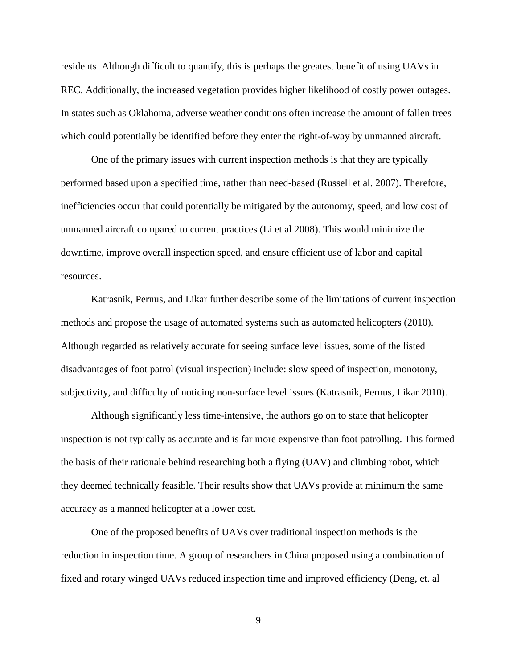residents. Although difficult to quantify, this is perhaps the greatest benefit of using UAVs in REC. Additionally, the increased vegetation provides higher likelihood of costly power outages. In states such as Oklahoma, adverse weather conditions often increase the amount of fallen trees which could potentially be identified before they enter the right-of-way by unmanned aircraft.

One of the primary issues with current inspection methods is that they are typically performed based upon a specified time, rather than need-based (Russell et al. 2007). Therefore, inefficiencies occur that could potentially be mitigated by the autonomy, speed, and low cost of unmanned aircraft compared to current practices (Li et al 2008). This would minimize the downtime, improve overall inspection speed, and ensure efficient use of labor and capital resources.

Katrasnik, Pernus, and Likar further describe some of the limitations of current inspection methods and propose the usage of automated systems such as automated helicopters (2010). Although regarded as relatively accurate for seeing surface level issues, some of the listed disadvantages of foot patrol (visual inspection) include: slow speed of inspection, monotony, subjectivity, and difficulty of noticing non-surface level issues (Katrasnik, Pernus, Likar 2010).

Although significantly less time-intensive, the authors go on to state that helicopter inspection is not typically as accurate and is far more expensive than foot patrolling. This formed the basis of their rationale behind researching both a flying (UAV) and climbing robot, which they deemed technically feasible. Their results show that UAVs provide at minimum the same accuracy as a manned helicopter at a lower cost.

One of the proposed benefits of UAVs over traditional inspection methods is the reduction in inspection time. A group of researchers in China proposed using a combination of fixed and rotary winged UAVs reduced inspection time and improved efficiency (Deng, et. al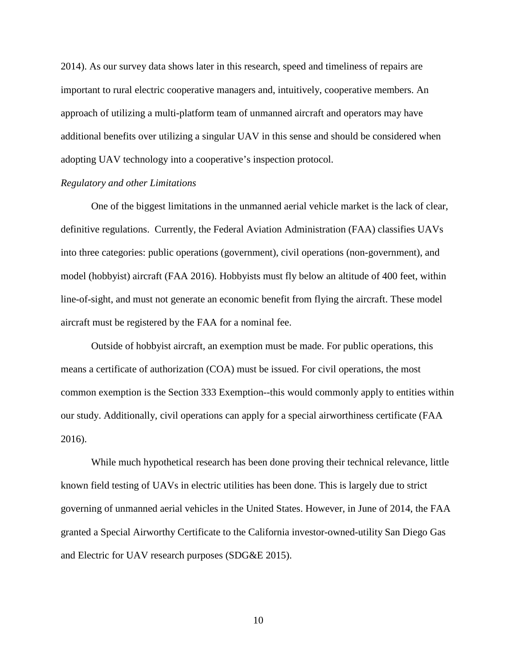2014). As our survey data shows later in this research, speed and timeliness of repairs are important to rural electric cooperative managers and, intuitively, cooperative members. An approach of utilizing a multi-platform team of unmanned aircraft and operators may have additional benefits over utilizing a singular UAV in this sense and should be considered when adopting UAV technology into a cooperative's inspection protocol.

#### *Regulatory and other Limitations*

One of the biggest limitations in the unmanned aerial vehicle market is the lack of clear, definitive regulations. Currently, the Federal Aviation Administration (FAA) classifies UAVs into three categories: public operations (government), civil operations (non-government), and model (hobbyist) aircraft (FAA 2016). Hobbyists must fly below an altitude of 400 feet, within line-of-sight, and must not generate an economic benefit from flying the aircraft. These model aircraft must be registered by the FAA for a nominal fee.

Outside of hobbyist aircraft, an exemption must be made. For public operations, this means a certificate of authorization (COA) must be issued. For civil operations, the most common exemption is the Section 333 Exemption--this would commonly apply to entities within our study. Additionally, civil operations can apply for a special airworthiness certificate (FAA 2016).

While much hypothetical research has been done proving their technical relevance, little known field testing of UAVs in electric utilities has been done. This is largely due to strict governing of unmanned aerial vehicles in the United States. However, in June of 2014, the FAA granted a Special Airworthy Certificate to the California investor-owned-utility San Diego Gas and Electric for UAV research purposes (SDG&E 2015).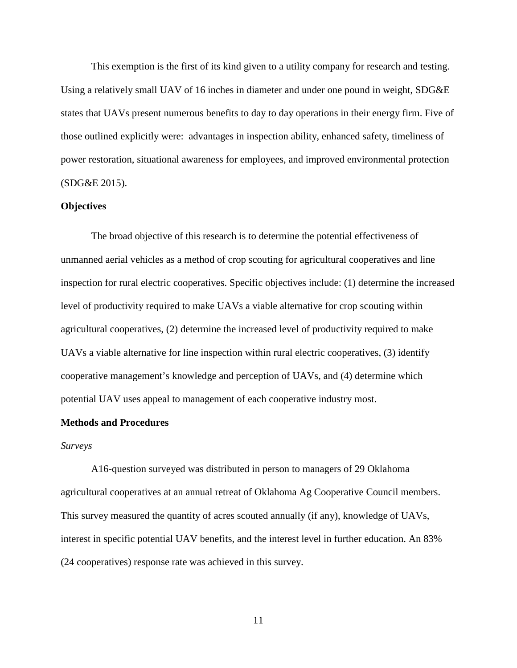This exemption is the first of its kind given to a utility company for research and testing. Using a relatively small UAV of 16 inches in diameter and under one pound in weight, SDG&E states that UAVs present numerous benefits to day to day operations in their energy firm. Five of those outlined explicitly were: advantages in inspection ability, enhanced safety, timeliness of power restoration, situational awareness for employees, and improved environmental protection (SDG&E 2015).

### **Objectives**

The broad objective of this research is to determine the potential effectiveness of unmanned aerial vehicles as a method of crop scouting for agricultural cooperatives and line inspection for rural electric cooperatives. Specific objectives include: (1) determine the increased level of productivity required to make UAVs a viable alternative for crop scouting within agricultural cooperatives, (2) determine the increased level of productivity required to make UAVs a viable alternative for line inspection within rural electric cooperatives, (3) identify cooperative management's knowledge and perception of UAVs, and (4) determine which potential UAV uses appeal to management of each cooperative industry most.

# **Methods and Procedures**

#### *Surveys*

A16-question surveyed was distributed in person to managers of 29 Oklahoma agricultural cooperatives at an annual retreat of Oklahoma Ag Cooperative Council members. This survey measured the quantity of acres scouted annually (if any), knowledge of UAVs, interest in specific potential UAV benefits, and the interest level in further education. An 83% (24 cooperatives) response rate was achieved in this survey.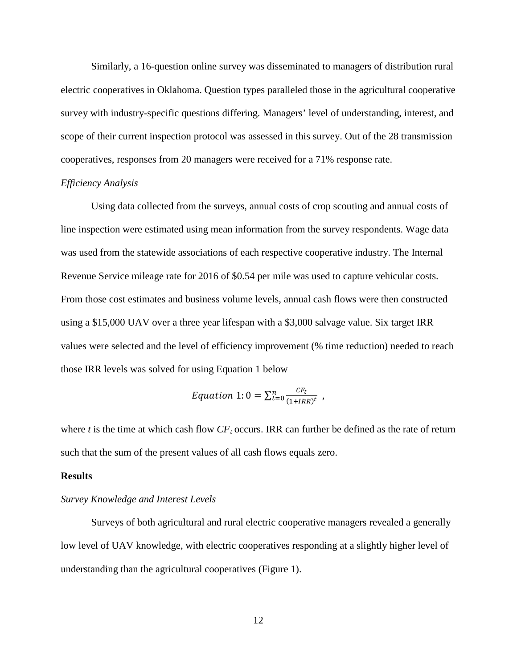Similarly, a 16-question online survey was disseminated to managers of distribution rural electric cooperatives in Oklahoma. Question types paralleled those in the agricultural cooperative survey with industry-specific questions differing. Managers' level of understanding, interest, and scope of their current inspection protocol was assessed in this survey. Out of the 28 transmission cooperatives, responses from 20 managers were received for a 71% response rate.

#### *Efficiency Analysis*

Using data collected from the surveys, annual costs of crop scouting and annual costs of line inspection were estimated using mean information from the survey respondents. Wage data was used from the statewide associations of each respective cooperative industry. The Internal Revenue Service mileage rate for 2016 of \$0.54 per mile was used to capture vehicular costs. From those cost estimates and business volume levels, annual cash flows were then constructed using a \$15,000 UAV over a three year lifespan with a \$3,000 salvage value. Six target IRR values were selected and the level of efficiency improvement (% time reduction) needed to reach those IRR levels was solved for using Equation 1 below

$$
Equation 1:0 = \sum_{t=0}^{n} \frac{CF_t}{(1+IRR)^t} ,
$$

where  $t$  is the time at which cash flow  $CF_t$  occurs. IRR can further be defined as the rate of return such that the sum of the present values of all cash flows equals zero.

### **Results**

#### *Survey Knowledge and Interest Levels*

Surveys of both agricultural and rural electric cooperative managers revealed a generally low level of UAV knowledge, with electric cooperatives responding at a slightly higher level of understanding than the agricultural cooperatives (Figure 1).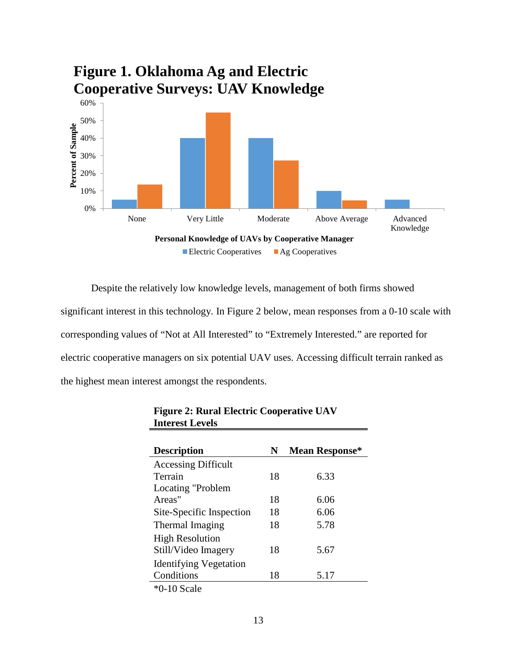

Despite the relatively low knowledge levels, management of both firms showed significant interest in this technology. In Figure 2 below, mean responses from a 0-10 scale with corresponding values of "Not at All Interested" to "Extremely Interested." are reported for electric cooperative managers on six potential UAV uses. Accessing difficult terrain ranked as the highest mean interest amongst the respondents.

| <b>Description</b>                                  | N  | <b>Mean Response*</b> |
|-----------------------------------------------------|----|-----------------------|
| <b>Accessing Difficult</b>                          |    |                       |
| Terrain                                             | 18 | 6.33                  |
| Locating "Problem"                                  |    |                       |
| Areas"                                              | 18 | 6.06                  |
| Site-Specific Inspection                            | 18 | 6.06                  |
| Thermal Imaging                                     | 18 | 5.78                  |
| <b>High Resolution</b>                              |    |                       |
| Still/Video Imagery                                 | 18 | 5.67                  |
| <b>Identifying Vegetation</b>                       |    |                       |
| Conditions                                          | 18 | 5.17                  |
| $*$ $\cap$ 10 $\Gamma$ <sub>22</sub> 1 <sub>2</sub> |    |                       |

| <b>Figure 2: Rural Electric Cooperative UAV</b> |  |
|-------------------------------------------------|--|
| <b>Interest Levels</b>                          |  |

\*0-10 Scale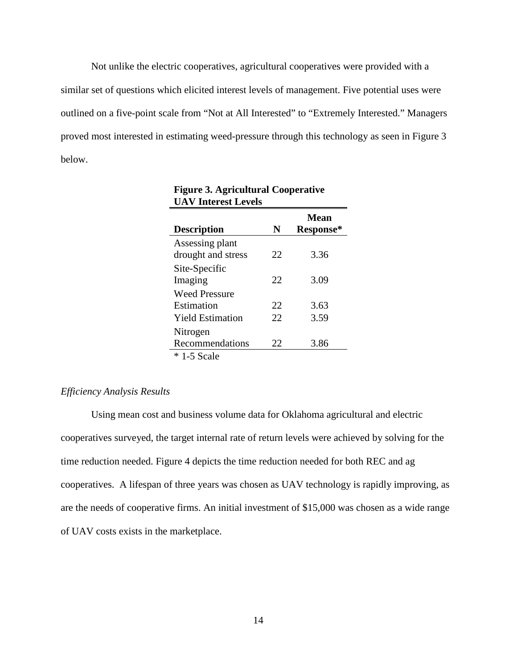Not unlike the electric cooperatives, agricultural cooperatives were provided with a similar set of questions which elicited interest levels of management. Five potential uses were outlined on a five-point scale from "Not at All Interested" to "Extremely Interested." Managers proved most interested in estimating weed-pressure through this technology as seen in Figure 3 below.

| <b>Description</b>                    | N  | Mean<br>Response* |
|---------------------------------------|----|-------------------|
| Assessing plant<br>drought and stress | 22 | 3.36              |
| Site-Specific<br>Imaging              | 22 | 3.09              |
| <b>Weed Pressure</b><br>Estimation    | 22 | 3.63              |
| <b>Yield Estimation</b>               | 22 | 3.59              |
| Nitrogen<br>Recommendations           | 22 | 3.86              |
| $* 1-5$ Scale                         |    |                   |

# **Figure 3. Agricultural Cooperative UAV Interest Levels**

### *Efficiency Analysis Results*

Using mean cost and business volume data for Oklahoma agricultural and electric cooperatives surveyed, the target internal rate of return levels were achieved by solving for the time reduction needed. Figure 4 depicts the time reduction needed for both REC and ag cooperatives. A lifespan of three years was chosen as UAV technology is rapidly improving, as are the needs of cooperative firms. An initial investment of \$15,000 was chosen as a wide range of UAV costs exists in the marketplace.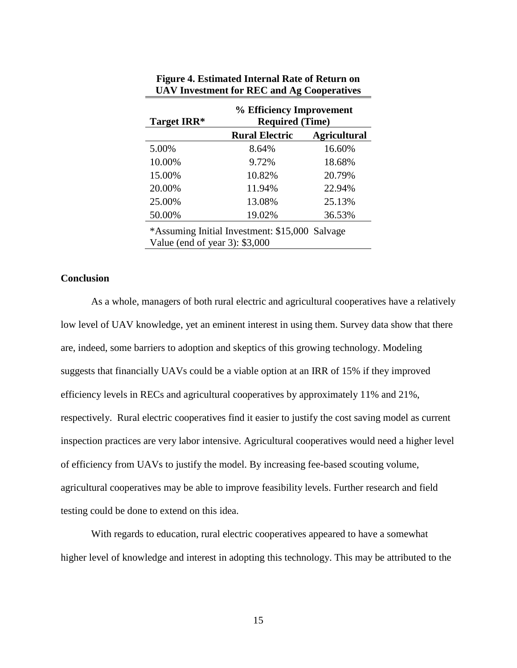| Target IRR*                                                                       | % Efficiency Improvement<br><b>Required (Time)</b> |                     |  |  |
|-----------------------------------------------------------------------------------|----------------------------------------------------|---------------------|--|--|
|                                                                                   | <b>Rural Electric</b>                              | <b>Agricultural</b> |  |  |
| 5.00%                                                                             | 8.64%                                              | 16.60%              |  |  |
| 10.00%                                                                            | 9.72%                                              | 18.68%              |  |  |
| 15.00%                                                                            | 10.82%                                             | 20.79%              |  |  |
| 20.00%                                                                            | 11.94%                                             | 22.94%              |  |  |
| 25.00%                                                                            | 13.08%                                             | 25.13%              |  |  |
| 50.00%                                                                            | 19.02%                                             | 36.53%              |  |  |
| *Assuming Initial Investment: \$15,000 Salvage<br>Value (end of year 3): $$3,000$ |                                                    |                     |  |  |

| Figure 4. Estimated Internal Rate of Return on |  |
|------------------------------------------------|--|
| UAV Investment for REC and Ag Cooperatives     |  |

## **Conclusion**

As a whole, managers of both rural electric and agricultural cooperatives have a relatively low level of UAV knowledge, yet an eminent interest in using them. Survey data show that there are, indeed, some barriers to adoption and skeptics of this growing technology. Modeling suggests that financially UAVs could be a viable option at an IRR of 15% if they improved efficiency levels in RECs and agricultural cooperatives by approximately 11% and 21%, respectively. Rural electric cooperatives find it easier to justify the cost saving model as current inspection practices are very labor intensive. Agricultural cooperatives would need a higher level of efficiency from UAVs to justify the model. By increasing fee-based scouting volume, agricultural cooperatives may be able to improve feasibility levels. Further research and field testing could be done to extend on this idea.

With regards to education, rural electric cooperatives appeared to have a somewhat higher level of knowledge and interest in adopting this technology. This may be attributed to the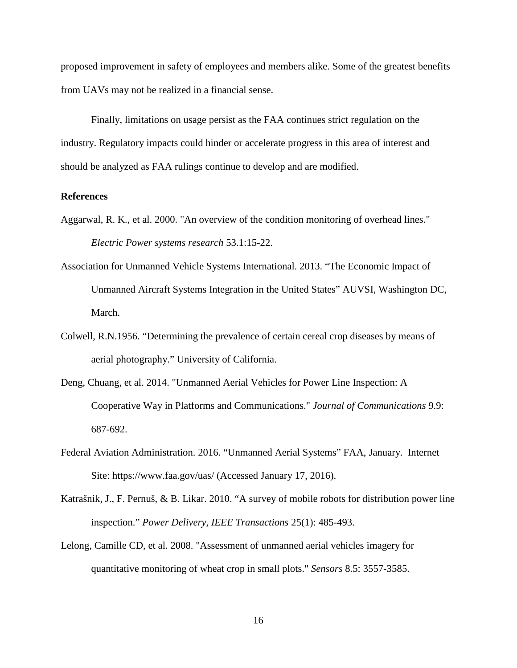proposed improvement in safety of employees and members alike. Some of the greatest benefits from UAVs may not be realized in a financial sense.

Finally, limitations on usage persist as the FAA continues strict regulation on the industry. Regulatory impacts could hinder or accelerate progress in this area of interest and should be analyzed as FAA rulings continue to develop and are modified.

## **References**

- Aggarwal, R. K., et al. 2000. "An overview of the condition monitoring of overhead lines." *Electric Power systems research* 53.1:15-22.
- Association for Unmanned Vehicle Systems International. 2013. "The Economic Impact of Unmanned Aircraft Systems Integration in the United States" AUVSI, Washington DC, March.
- Colwell, R.N.1956. "Determining the prevalence of certain cereal crop diseases by means of aerial photography." University of California.
- Deng, Chuang, et al. 2014. "Unmanned Aerial Vehicles for Power Line Inspection: A Cooperative Way in Platforms and Communications." *Journal of Communications* 9.9: 687-692.
- Federal Aviation Administration. 2016. "Unmanned Aerial Systems" FAA, January. Internet Site: https://www.faa.gov/uas/ (Accessed January 17, 2016).
- Katrašnik, J., F. Pernuš, & B. Likar. 2010. "A survey of mobile robots for distribution power line inspection." *Power Delivery, IEEE Transactions* 25(1): 485-493.
- Lelong, Camille CD, et al. 2008. "Assessment of unmanned aerial vehicles imagery for quantitative monitoring of wheat crop in small plots." *Sensors* 8.5: 3557-3585.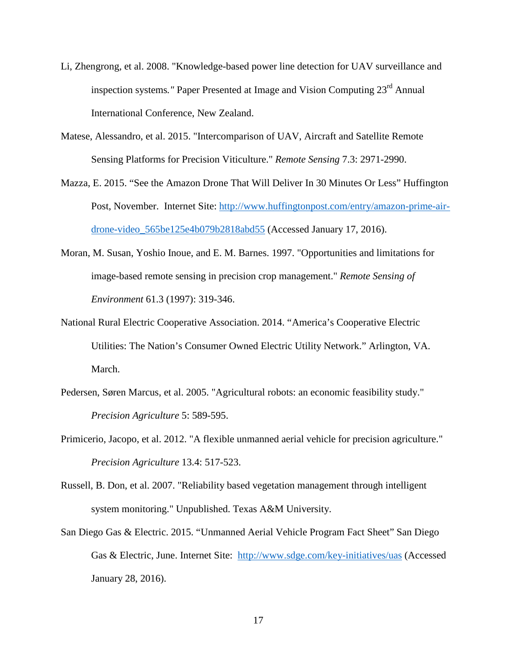- Li, Zhengrong, et al. 2008. "Knowledge-based power line detection for UAV surveillance and inspection systems*."* Paper Presented at Image and Vision Computing 23rd Annual International Conference, New Zealand.
- Matese, Alessandro, et al. 2015. "Intercomparison of UAV, Aircraft and Satellite Remote Sensing Platforms for Precision Viticulture." *Remote Sensing* 7.3: 2971-2990.
- Mazza, E. 2015. "See the Amazon Drone That Will Deliver In 30 Minutes Or Less" Huffington Post, November. Internet Site: [http://www.huffingtonpost.com/entry/amazon-prime-air](http://www.huffingtonpost.com/entry/amazon-prime-air-drone-video_565be125e4b079b2818abd55)[drone-video\\_565be125e4b079b2818abd55](http://www.huffingtonpost.com/entry/amazon-prime-air-drone-video_565be125e4b079b2818abd55) (Accessed January 17, 2016).
- Moran, M. Susan, Yoshio Inoue, and E. M. Barnes. 1997. "Opportunities and limitations for image-based remote sensing in precision crop management." *Remote Sensing of Environment* 61.3 (1997): 319-346.
- National Rural Electric Cooperative Association. 2014. "America's Cooperative Electric Utilities: The Nation's Consumer Owned Electric Utility Network." Arlington, VA. March.
- Pedersen, Søren Marcus, et al. 2005. "Agricultural robots: an economic feasibility study." *Precision Agriculture* 5: 589-595.
- Primicerio, Jacopo, et al. 2012. "A flexible unmanned aerial vehicle for precision agriculture." *Precision Agriculture* 13.4: 517-523.
- Russell, B. Don, et al. 2007. "Reliability based vegetation management through intelligent system monitoring." Unpublished. Texas A&M University.
- San Diego Gas & Electric. 2015. "Unmanned Aerial Vehicle Program Fact Sheet" San Diego Gas & Electric, June. Internet Site: <http://www.sdge.com/key-initiatives/uas> (Accessed January 28, 2016).